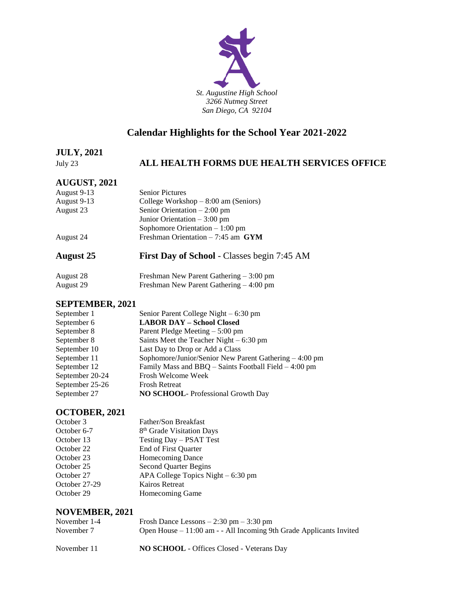

## **Calendar Highlights for the School Year 2021-2022**

#### **JULY, 2021**

## July 23 **ALL HEALTH FORMS DUE HEALTH SERVICES OFFICE**

### **AUGUST, 2021**

| <b>August 25</b> | First Day of School - Classes begin 7:45 AM |
|------------------|---------------------------------------------|
| August 24        | Freshman Orientation $-7:45$ am GYM         |
|                  | Sophomore Orientation $-1:00$ pm            |
|                  | Junior Orientation $-3:00$ pm               |
| August 23        | Senior Orientation $-2:00$ pm               |
| August 9-13      | College Workshop $-8:00$ am (Seniors)       |
| August 9-13      | <b>Senior Pictures</b>                      |
|                  |                                             |

#### August 28 Freshman New Parent Gathering – 3:00 pm August 29 Freshman New Parent Gathering – 4:00 pm

#### **SEPTEMBER, 2021**

| September 1     | Senior Parent College Night $-6:30$ pm                 |
|-----------------|--------------------------------------------------------|
| September 6     | <b>LABOR DAY - School Closed</b>                       |
| September 8     | Parent Pledge Meeting $-5:00$ pm                       |
| September 8     | Saints Meet the Teacher Night $-6:30 \text{ pm}$       |
| September 10    | Last Day to Drop or Add a Class                        |
| September 11    | Sophomore/Junior/Senior New Parent Gathering – 4:00 pm |
| September 12    | Family Mass and BBQ – Saints Football Field – 4:00 pm  |
| September 20-24 | Frosh Welcome Week                                     |
| September 25-26 | <b>Frosh Retreat</b>                                   |
| September 27    | <b>NO SCHOOL-</b> Professional Growth Day              |

### **OCTOBER, 2021**

| October 3     | Father/Son Breakfast                  |
|---------------|---------------------------------------|
| October 6-7   | 8 <sup>th</sup> Grade Visitation Days |
| October 13    | Testing Day - PSAT Test               |
| October 22    | End of First Quarter                  |
| October 23    | <b>Homecoming Dance</b>               |
| October 25    | <b>Second Quarter Begins</b>          |
| October 27    | APA College Topics Night $-6:30$ pm   |
| October 27-29 | Kairos Retreat                        |
| October 29    | Homecoming Game                       |

#### **NOVEMBER, 2021**

| November 1-4 | Frosh Dance Lessons $-2:30$ pm $-3:30$ pm                              |
|--------------|------------------------------------------------------------------------|
| November 7   | Open House $-11:00$ am $-$ - All Incoming 9th Grade Applicants Invited |
| November 11  | <b>NO SCHOOL</b> - Offices Closed - Veterans Day                       |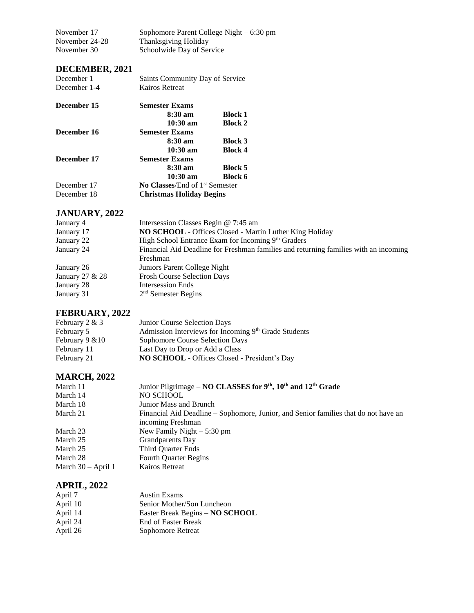| November 17    | Sophomore Parent College Night $-6:30$ pm |
|----------------|-------------------------------------------|
| November 24-28 | Thanksgiving Holiday                      |
| November 30    | Schoolwide Day of Service                 |

## **DECEMBER, 2021**

| December 1   | Saints Community Day of Service       |                |
|--------------|---------------------------------------|----------------|
| December 1-4 | Kairos Retreat                        |                |
| December 15  | <b>Semester Exams</b>                 |                |
|              | $8:30 \text{ am}$                     | <b>Block 1</b> |
|              | $10:30 \text{ am}$                    | <b>Block 2</b> |
| December 16  | <b>Semester Exams</b>                 |                |
|              | $8:30~\mathrm{am}$                    | <b>Block 3</b> |
|              | $10:30 \text{ am}$                    | <b>Block 4</b> |
| December 17  | <b>Semester Exams</b>                 |                |
|              | $8:30 \text{ am}$                     | <b>Block 5</b> |
|              | $10:30$ am                            | <b>Block 6</b> |
| December 17  | <b>No Classes/End of 1st Semester</b> |                |
| December 18  | <b>Christmas Holiday Begins</b>       |                |

## **JANUARY, 2022**

| January 4       | Intersession Classes Begin @ 7:45 am                                                 |
|-----------------|--------------------------------------------------------------------------------------|
| January 17      | NO SCHOOL - Offices Closed - Martin Luther King Holiday                              |
| January 22      | High School Entrance Exam for Incoming 9th Graders                                   |
| January 24      | Financial Aid Deadline for Freshman families and returning families with an incoming |
|                 | Freshman                                                                             |
| January 26      | Juniors Parent College Night                                                         |
| January 27 & 28 | <b>Frosh Course Selection Days</b>                                                   |
| January 28      | <b>Intersession Ends</b>                                                             |
| January 31      | $2nd$ Semester Begins                                                                |

# **FEBRUARY, 2022**

| February $2 & 3$   | Junior Course Selection Days                         |
|--------------------|------------------------------------------------------|
| February 5         | Admission Interviews for Incoming 9th Grade Students |
| February $9 \& 10$ | Sophomore Course Selection Days                      |
| February 11        | Last Day to Drop or Add a Class                      |
| February 21        | <b>NO SCHOOL</b> - Offices Closed - President's Day  |

## **MARCH, 2022**

| March 11             | Junior Pilgrimage – NO CLASSES for $9th$ , $10th$ and $12th$ Grade                  |
|----------------------|-------------------------------------------------------------------------------------|
| March 14             | NO SCHOOL                                                                           |
| March 18             | Junior Mass and Brunch                                                              |
| March 21             | Financial Aid Deadline – Sophomore, Junior, and Senior families that do not have an |
|                      | incoming Freshman                                                                   |
| March 23             | New Family Night $-5:30$ pm                                                         |
| March 25             | <b>Grandparents</b> Day                                                             |
| March 25             | Third Quarter Ends                                                                  |
| March 28             | <b>Fourth Quarter Begins</b>                                                        |
| March $30 -$ April 1 | Kairos Retreat                                                                      |

## **APRIL, 2022**

| April 7  | <b>Austin Exams</b>             |
|----------|---------------------------------|
| April 10 | Senior Mother/Son Luncheon      |
| April 14 | Easter Break Begins - NO SCHOOL |
| April 24 | <b>End of Easter Break</b>      |
| April 26 | Sophomore Retreat               |
|          |                                 |